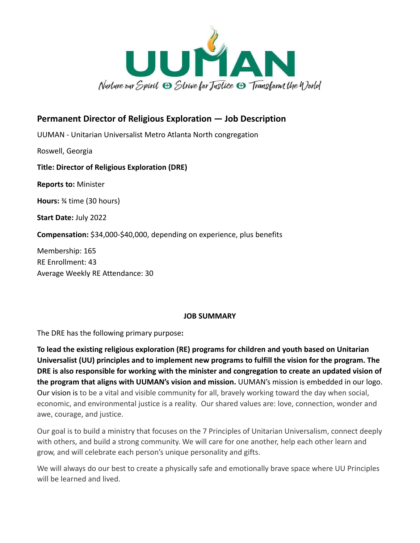

# **Permanent Director of Religious Exploration — Job Description**

UUMAN - Unitarian Universalist Metro Atlanta North congregation

Roswell, Georgia

## **Title: Director of Religious Exploration (DRE)**

**Reports to:** Minister

**Hours:** ¾ time (30 hours)

**Start Date:** July 2022

**Compensation:** \$34,000-\$40,000, depending on experience, plus benefits

Membership: 165 RE Enrollment: 43 Average Weekly RE Attendance: 30

#### **JOB SUMMARY**

The DRE has the following primary purpose**:**

**To lead the existing religious exploration (RE) programs for children and youth based on Unitarian Universalist (UU) principles and to implement new programs to fulfill the vision for the program. The DRE is also responsible for working with the minister and congregation to create an updated vision of the program that aligns with UUMAN's vision and mission.** UUMAN's mission is embedded in our logo. Our vision is to be a vital and visible community for all, bravely working toward the day when social, economic, and environmental justice is a reality. Our shared values are: love, connection, wonder and awe, courage, and justice.

Our goal is to build a ministry that focuses on the 7 Principles of Unitarian Universalism, connect deeply with others, and build a strong community. We will care for one another, help each other learn and grow, and will celebrate each person's unique personality and gifts.

We will always do our best to create a physically safe and emotionally brave space where UU Principles will be learned and lived.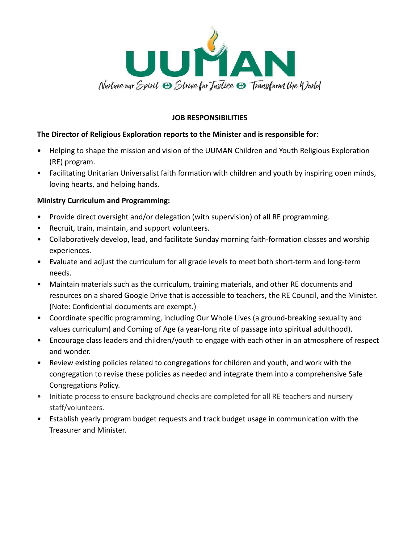

### **JOB RESPONSIBILITIES**

## **The Director of Religious Exploration reports to the Minister and is responsible for:**

- Helping to shape the mission and vision of the UUMAN Children and Youth Religious Exploration (RE) program.
- Facilitating Unitarian Universalist faith formation with children and youth by inspiring open minds, loving hearts, and helping hands.

## **Ministry Curriculum and Programming:**

- Provide direct oversight and/or delegation (with supervision) of all RE programming.
- Recruit, train, maintain, and support volunteers.
- Collaboratively develop, lead, and facilitate Sunday morning faith-formation classes and worship experiences.
- Evaluate and adjust the curriculum for all grade levels to meet both short-term and long-term needs.
- Maintain materials such as the curriculum, training materials, and other RE documents and resources on a shared Google Drive that is accessible to teachers, the RE Council, and the Minister. (Note: Confidential documents are exempt.)
- Coordinate specific programming, including Our Whole Lives (a ground-breaking sexuality and values curriculum) and Coming of Age (a year-long rite of passage into spiritual adulthood).
- Encourage class leaders and children/youth to engage with each other in an atmosphere of respect and wonder.
- Review existing policies related to congregations for children and youth, and work with the congregation to revise these policies as needed and integrate them into a comprehensive Safe Congregations Policy.
- Initiate process to ensure background checks are completed for all RE teachers and nursery staff/volunteers.
- Establish yearly program budget requests and track budget usage in communication with the Treasurer and Minister.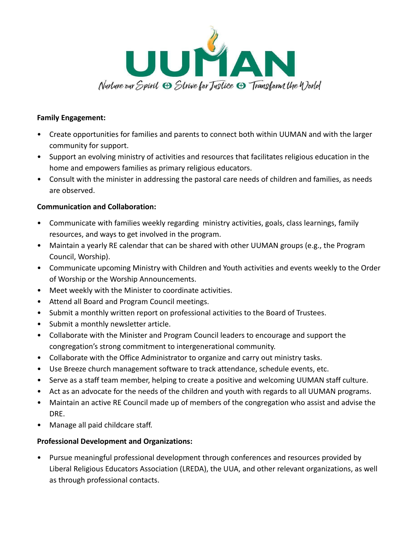

#### **Family Engagement:**

- Create opportunities for families and parents to connect both within UUMAN and with the larger community for support.
- Support an evolving ministry of activities and resources that facilitates religious education in the home and empowers families as primary religious educators.
- Consult with the minister in addressing the pastoral care needs of children and families, as needs are observed.

#### **Communication and Collaboration:**

- Communicate with families weekly regarding ministry activities, goals, class learnings, family resources, and ways to get involved in the program.
- Maintain a yearly RE calendar that can be shared with other UUMAN groups (e.g., the Program Council, Worship).
- Communicate upcoming Ministry with Children and Youth activities and events weekly to the Order of Worship or the Worship Announcements.
- Meet weekly with the Minister to coordinate activities.
- Attend all Board and Program Council meetings.
- Submit a monthly written report on professional activities to the Board of Trustees.
- Submit a monthly newsletter article.
- Collaborate with the Minister and Program Council leaders to encourage and support the congregation's strong commitment to intergenerational community.
- Collaborate with the Office Administrator to organize and carry out ministry tasks.
- Use Breeze church management software to track attendance, schedule events, etc.
- Serve as a staff team member, helping to create a positive and welcoming UUMAN staff culture.
- Act as an advocate for the needs of the children and youth with regards to all UUMAN programs.
- Maintain an active RE Council made up of members of the congregation who assist and advise the DRE.
- Manage all paid childcare staff.

#### **Professional Development and Organizations:**

• Pursue meaningful professional development through conferences and resources provided by Liberal Religious Educators Association (LREDA), the UUA, and other relevant organizations, as well as through professional contacts.